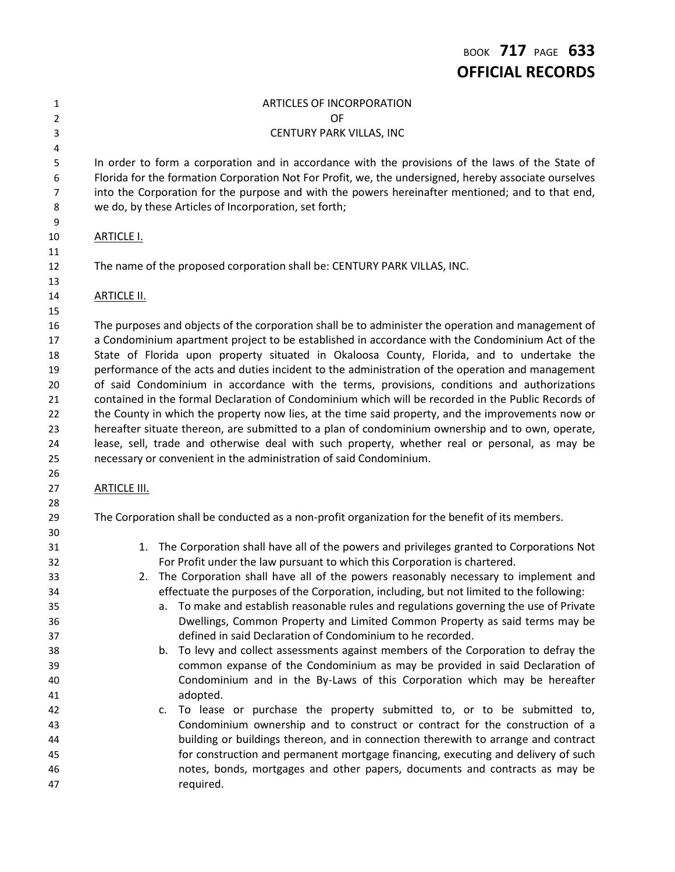### ARTICLES OF INCORPORATION OF CENTURY PARK VILLAS, INC In order to form a corporation and in accordance with the provisions of the laws of the State of Florida for the formation Corporation Not For Profit, we, the undersigned, hereby associate ourselves into the Corporation for the purpose and with the powers hereinafter mentioned; and to that end, we do, by these Articles of Incorporation, set forth; ARTICLE I. The name of the proposed corporation shall be: CENTURY PARK VILLAS, INC. **ARTICLE II.**  The purposes and objects of the corporation shall be to administer the operation and management of a Condominium apartment project to be established in accordance with the Condominium Act of the State of Florida upon property situated in Okaloosa County, Florida, and to undertake the performance of the acts and duties incident to the administration of the operation and management of said Condominium in accordance with the terms, provisions, conditions and authorizations contained in the formal Declaration of Condominium which will be recorded in the Public Records of the County in which the property now lies, at the time said property, and the improvements now or hereafter situate thereon, are submitted to a plan of condominium ownership and to own, operate, lease, sell, trade and otherwise deal with such property, whether real or personal, as may be necessary or convenient in the administration of said Condominium. **ARTICLE III.**  The Corporation shall be conducted as a non-profit organization for the benefit of its members. 1. The Corporation shall have all of the powers and privileges granted to Corporations Not For Profit under the law pursuant to which this Corporation is chartered. 2. The Corporation shall have all of the powers reasonably necessary to implement and effectuate the purposes of the Corporation, including, but not limited to the following: a. To make and establish reasonable rules and regulations governing the use of Private Dwellings, Common Property and Limited Common Property as said terms may be defined in said Declaration of Condominium to he recorded. b. To levy and collect assessments against members of the Corporation to defray the common expanse of the Condominium as may be provided in said Declaration of Condominium and in the By-Laws of this Corporation which may be hereafter adopted. c. To lease or purchase the property submitted to, or to be submitted to, Condominium ownership and to construct or contract for the construction of a building or buildings thereon, and in connection therewith to arrange and contract for construction and permanent mortgage financing, executing and delivery of such notes, bonds, mortgages and other papers, documents and contracts as may be required.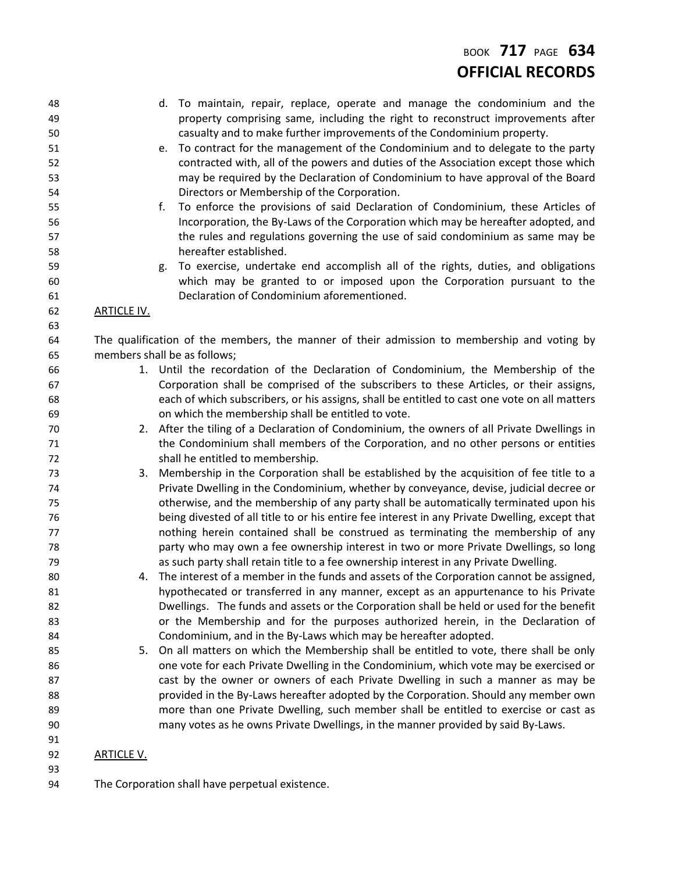# BOOK **717** PAGE **634 OFFICIAL RECORDS**

| 48       |                    | d. To maintain, repair, replace, operate and manage the condominium and the                                                                                                        |  |
|----------|--------------------|------------------------------------------------------------------------------------------------------------------------------------------------------------------------------------|--|
| 49       |                    | property comprising same, including the right to reconstruct improvements after                                                                                                    |  |
| 50       |                    | casualty and to make further improvements of the Condominium property.                                                                                                             |  |
| 51       |                    | To contract for the management of the Condominium and to delegate to the party<br>e.                                                                                               |  |
| 52       |                    | contracted with, all of the powers and duties of the Association except those which                                                                                                |  |
| 53       |                    | may be required by the Declaration of Condominium to have approval of the Board                                                                                                    |  |
| 54       |                    | Directors or Membership of the Corporation.                                                                                                                                        |  |
| 55       |                    | To enforce the provisions of said Declaration of Condominium, these Articles of<br>f.                                                                                              |  |
| 56       |                    | Incorporation, the By-Laws of the Corporation which may be hereafter adopted, and                                                                                                  |  |
| 57       |                    | the rules and regulations governing the use of said condominium as same may be                                                                                                     |  |
| 58       |                    | hereafter established.                                                                                                                                                             |  |
| 59       |                    | To exercise, undertake end accomplish all of the rights, duties, and obligations<br>g.                                                                                             |  |
| 60       |                    | which may be granted to or imposed upon the Corporation pursuant to the                                                                                                            |  |
| 61       |                    | Declaration of Condominium aforementioned.                                                                                                                                         |  |
| 62       | <b>ARTICLE IV.</b> |                                                                                                                                                                                    |  |
| 63       |                    |                                                                                                                                                                                    |  |
| 64       |                    | The qualification of the members, the manner of their admission to membership and voting by                                                                                        |  |
| 65       |                    | members shall be as follows;                                                                                                                                                       |  |
| 66       |                    | 1. Until the recordation of the Declaration of Condominium, the Membership of the                                                                                                  |  |
| 67       |                    | Corporation shall be comprised of the subscribers to these Articles, or their assigns,                                                                                             |  |
| 68       |                    | each of which subscribers, or his assigns, shall be entitled to cast one vote on all matters                                                                                       |  |
| 69       |                    | on which the membership shall be entitled to vote.                                                                                                                                 |  |
| 70       |                    | 2. After the tiling of a Declaration of Condominium, the owners of all Private Dwellings in                                                                                        |  |
| 71       |                    | the Condominium shall members of the Corporation, and no other persons or entities                                                                                                 |  |
| 72       |                    | shall he entitled to membership.                                                                                                                                                   |  |
| 73       | 3.                 | Membership in the Corporation shall be established by the acquisition of fee title to a                                                                                            |  |
| 74       |                    | Private Dwelling in the Condominium, whether by conveyance, devise, judicial decree or                                                                                             |  |
| 75       |                    | otherwise, and the membership of any party shall be automatically terminated upon his                                                                                              |  |
| 76       |                    | being divested of all title to or his entire fee interest in any Private Dwelling, except that<br>nothing herein contained shall be construed as terminating the membership of any |  |
| 77       |                    | party who may own a fee ownership interest in two or more Private Dwellings, so long                                                                                               |  |
| 78<br>79 |                    | as such party shall retain title to a fee ownership interest in any Private Dwelling.                                                                                              |  |
| 80       |                    | 4. The interest of a member in the funds and assets of the Corporation cannot be assigned,                                                                                         |  |
| 81       |                    | hypothecated or transferred in any manner, except as an appurtenance to his Private                                                                                                |  |
| 82       |                    | Dwellings. The funds and assets or the Corporation shall be held or used for the benefit                                                                                           |  |
| 83       |                    | or the Membership and for the purposes authorized herein, in the Declaration of                                                                                                    |  |
| 84       |                    | Condominium, and in the By-Laws which may be hereafter adopted.                                                                                                                    |  |
| 85       |                    | 5. On all matters on which the Membership shall be entitled to vote, there shall be only                                                                                           |  |
| 86       |                    | one vote for each Private Dwelling in the Condominium, which vote may be exercised or                                                                                              |  |
| 87       |                    | cast by the owner or owners of each Private Dwelling in such a manner as may be                                                                                                    |  |
| 88       |                    | provided in the By-Laws hereafter adopted by the Corporation. Should any member own                                                                                                |  |
| 89       |                    | more than one Private Dwelling, such member shall be entitled to exercise or cast as                                                                                               |  |
| 90       |                    | many votes as he owns Private Dwellings, in the manner provided by said By-Laws.                                                                                                   |  |
| 91       |                    |                                                                                                                                                                                    |  |
| 92       | <b>ARTICLE V.</b>  |                                                                                                                                                                                    |  |
| 93       |                    |                                                                                                                                                                                    |  |
| 94       |                    | The Corporation shall have perpetual existence.                                                                                                                                    |  |
|          |                    |                                                                                                                                                                                    |  |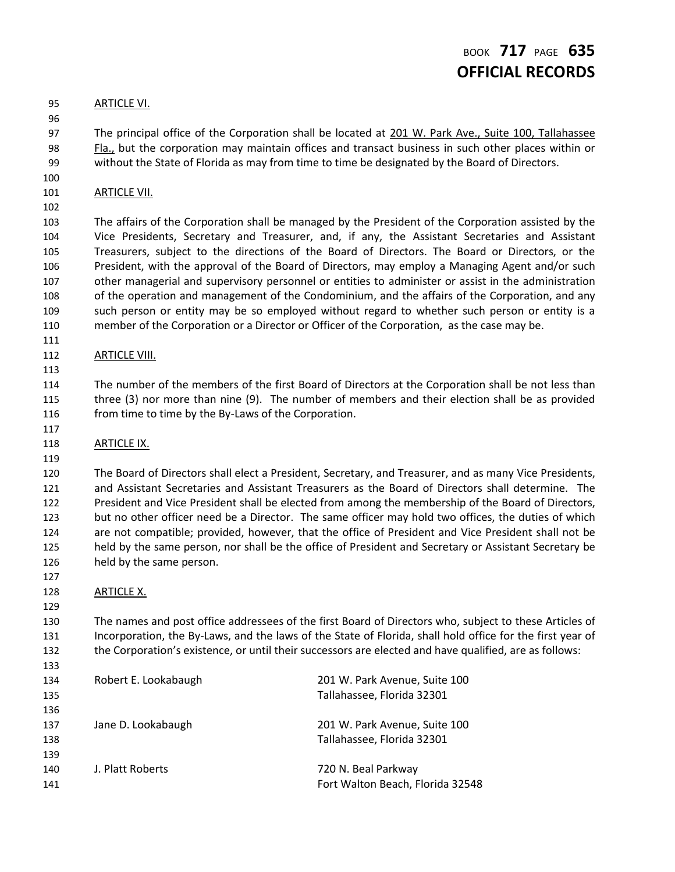# BOOK **717** PAGE **635 OFFICIAL RECORDS**

#### ARTICLE VI.

 97 The principal office of the Corporation shall be located at 201 W. Park Ave., Suite 100, Tallahassee Fla., but the corporation may maintain offices and transact business in such other places within or without the State of Florida as may from time to time be designated by the Board of Directors.

101 ARTICLE VII.

 The affairs of the Corporation shall be managed by the President of the Corporation assisted by the Vice Presidents, Secretary and Treasurer, and, if any, the Assistant Secretaries and Assistant Treasurers, subject to the directions of the Board of Directors. The Board or Directors, or the President, with the approval of the Board of Directors, may employ a Managing Agent and/or such other managerial and supervisory personnel or entities to administer or assist in the administration of the operation and management of the Condominium, and the affairs of the Corporation, and any such person or entity may be so employed without regard to whether such person or entity is a member of the Corporation or a Director or Officer of the Corporation, as the case may be.

### **ARTICLE VIII.**

 The number of the members of the first Board of Directors at the Corporation shall be not less than three (3) nor more than nine (9). The number of members and their election shall be as provided 116 from time to time by the By-Laws of the Corporation.

### ARTICLE IX.

 The Board of Directors shall elect a President, Secretary, and Treasurer, and as many Vice Presidents, and Assistant Secretaries and Assistant Treasurers as the Board of Directors shall determine. The President and Vice President shall be elected from among the membership of the Board of Directors, but no other officer need be a Director. The same officer may hold two offices, the duties of which are not compatible; provided, however, that the office of President and Vice President shall not be held by the same person, nor shall be the office of President and Secretary or Assistant Secretary be held by the same person.

### 128 ARTICLE X.

 The names and post office addressees of the first Board of Directors who, subject to these Articles of Incorporation, the By-Laws, and the laws of the State of Florida, shall hold office for the first year of the Corporation's existence, or until their successors are elected and have qualified, are as follows:

| 134 | Robert E. Lookabaugh | 201 W. Park Avenue, Suite 100    |
|-----|----------------------|----------------------------------|
| 135 |                      | Tallahassee, Florida 32301       |
| 136 |                      |                                  |
| 137 | Jane D. Lookabaugh   | 201 W. Park Avenue, Suite 100    |
| 138 |                      | Tallahassee, Florida 32301       |
| 139 |                      |                                  |
| 140 | J. Platt Roberts     | 720 N. Beal Parkway              |
| 141 |                      | Fort Walton Beach, Florida 32548 |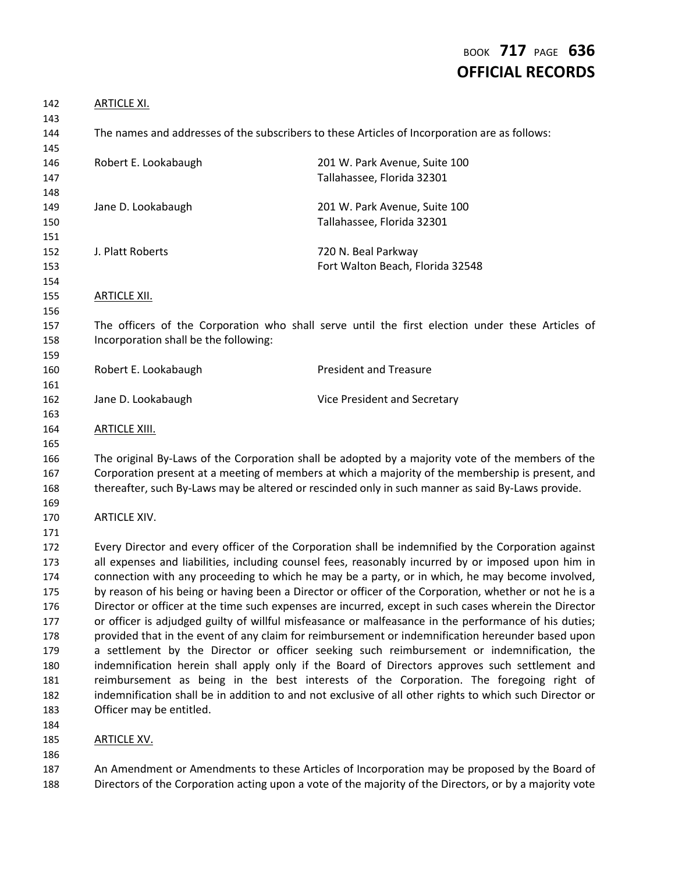# BOOK **717** PAGE **636 OFFICIAL RECORDS**

| <b>ARTICLE XI.</b>                    |                                                                                                                                                                                                                                                                                                                                                                                                                                                                                                                                                                                                                                                                                                                                                                                                                                                                                                                                                                                                                                                                                                                                                      |
|---------------------------------------|------------------------------------------------------------------------------------------------------------------------------------------------------------------------------------------------------------------------------------------------------------------------------------------------------------------------------------------------------------------------------------------------------------------------------------------------------------------------------------------------------------------------------------------------------------------------------------------------------------------------------------------------------------------------------------------------------------------------------------------------------------------------------------------------------------------------------------------------------------------------------------------------------------------------------------------------------------------------------------------------------------------------------------------------------------------------------------------------------------------------------------------------------|
|                                       | The names and addresses of the subscribers to these Articles of Incorporation are as follows:                                                                                                                                                                                                                                                                                                                                                                                                                                                                                                                                                                                                                                                                                                                                                                                                                                                                                                                                                                                                                                                        |
| Robert E. Lookabaugh                  | 201 W. Park Avenue, Suite 100<br>Tallahassee, Florida 32301                                                                                                                                                                                                                                                                                                                                                                                                                                                                                                                                                                                                                                                                                                                                                                                                                                                                                                                                                                                                                                                                                          |
| Jane D. Lookabaugh                    | 201 W. Park Avenue, Suite 100<br>Tallahassee, Florida 32301                                                                                                                                                                                                                                                                                                                                                                                                                                                                                                                                                                                                                                                                                                                                                                                                                                                                                                                                                                                                                                                                                          |
| J. Platt Roberts                      | 720 N. Beal Parkway<br>Fort Walton Beach, Florida 32548                                                                                                                                                                                                                                                                                                                                                                                                                                                                                                                                                                                                                                                                                                                                                                                                                                                                                                                                                                                                                                                                                              |
| <b>ARTICLE XII.</b>                   |                                                                                                                                                                                                                                                                                                                                                                                                                                                                                                                                                                                                                                                                                                                                                                                                                                                                                                                                                                                                                                                                                                                                                      |
| Incorporation shall be the following: | The officers of the Corporation who shall serve until the first election under these Articles of                                                                                                                                                                                                                                                                                                                                                                                                                                                                                                                                                                                                                                                                                                                                                                                                                                                                                                                                                                                                                                                     |
| Robert E. Lookabaugh                  | <b>President and Treasure</b>                                                                                                                                                                                                                                                                                                                                                                                                                                                                                                                                                                                                                                                                                                                                                                                                                                                                                                                                                                                                                                                                                                                        |
| Jane D. Lookabaugh                    | Vice President and Secretary                                                                                                                                                                                                                                                                                                                                                                                                                                                                                                                                                                                                                                                                                                                                                                                                                                                                                                                                                                                                                                                                                                                         |
| <b>ARTICLE XIII.</b>                  |                                                                                                                                                                                                                                                                                                                                                                                                                                                                                                                                                                                                                                                                                                                                                                                                                                                                                                                                                                                                                                                                                                                                                      |
|                                       | The original By-Laws of the Corporation shall be adopted by a majority vote of the members of the<br>Corporation present at a meeting of members at which a majority of the membership is present, and<br>thereafter, such By-Laws may be altered or rescinded only in such manner as said By-Laws provide.                                                                                                                                                                                                                                                                                                                                                                                                                                                                                                                                                                                                                                                                                                                                                                                                                                          |
| <b>ARTICLE XIV.</b>                   |                                                                                                                                                                                                                                                                                                                                                                                                                                                                                                                                                                                                                                                                                                                                                                                                                                                                                                                                                                                                                                                                                                                                                      |
| Officer may be entitled.              | Every Director and every officer of the Corporation shall be indemnified by the Corporation against<br>all expenses and liabilities, including counsel fees, reasonably incurred by or imposed upon him in<br>connection with any proceeding to which he may be a party, or in which, he may become involved,<br>by reason of his being or having been a Director or officer of the Corporation, whether or not he is a<br>Director or officer at the time such expenses are incurred, except in such cases wherein the Director<br>or officer is adjudged guilty of willful misfeasance or malfeasance in the performance of his duties;<br>provided that in the event of any claim for reimbursement or indemnification hereunder based upon<br>a settlement by the Director or officer seeking such reimbursement or indemnification, the<br>indemnification herein shall apply only if the Board of Directors approves such settlement and<br>reimbursement as being in the best interests of the Corporation. The foregoing right of<br>indemnification shall be in addition to and not exclusive of all other rights to which such Director or |
| <b>ARTICLE XV.</b>                    |                                                                                                                                                                                                                                                                                                                                                                                                                                                                                                                                                                                                                                                                                                                                                                                                                                                                                                                                                                                                                                                                                                                                                      |
|                                       | An Amendment or Amendments to these Articles of Incorporation may be proposed by the Board of                                                                                                                                                                                                                                                                                                                                                                                                                                                                                                                                                                                                                                                                                                                                                                                                                                                                                                                                                                                                                                                        |

Directors of the Corporation acting upon a vote of the majority of the Directors, or by a majority vote